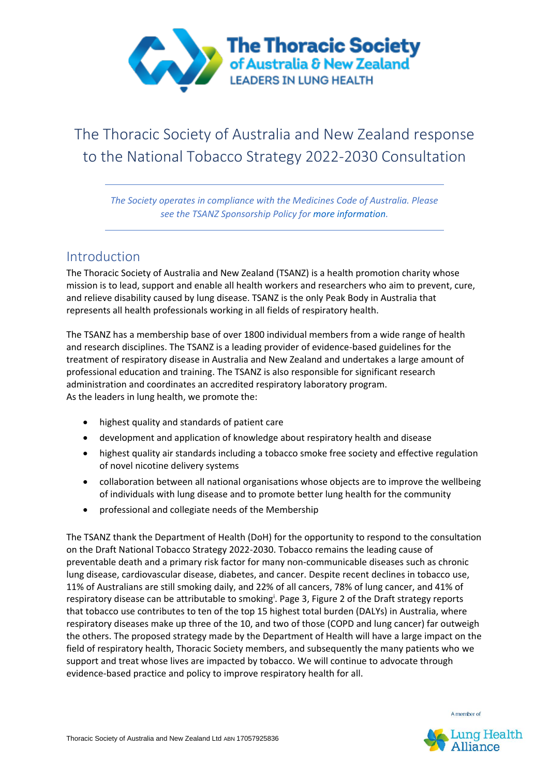

# The Thoracic Society of Australia and New Zealand response to the National Tobacco Strategy 2022-2030 Consultation

*The Society operates in compliance with the Medicines Code of Australia. Please see the TSANZ Sponsorship Policy for more information.*

# Introduction

The Thoracic Society of Australia and New Zealand (TSANZ) is a health promotion charity whose mission is to lead, support and enable all health workers and researchers who aim to prevent, cure, and relieve disability caused by lung disease. TSANZ is the only Peak Body in Australia that represents all health professionals working in all fields of respiratory health.

The TSANZ has a membership base of over 1800 individual members from a wide range of health and research disciplines. The TSANZ is a leading provider of evidence-based guidelines for the treatment of respiratory disease in Australia and New Zealand and undertakes a large amount of professional education and training. The TSANZ is also responsible for significant research administration and coordinates an accredited respiratory laboratory program. As the leaders in lung health, we promote the:

- highest quality and standards of patient care
- development and application of knowledge about respiratory health and disease
- highest quality air standards including a tobacco smoke free society and effective regulation of novel nicotine delivery systems
- collaboration between all national organisations whose objects are to improve the wellbeing of individuals with lung disease and to promote better lung health for the community
- professional and collegiate needs of the Membership

The TSANZ thank the Department of Health (DoH) for the opportunity to respond to the consultation on the Draft National Tobacco Strategy 2022-2030. Tobacco remains the leading cause of preventable death and a primary risk factor for many non-communicable diseases such as chronic lung disease, cardiovascular disease, diabetes, and cancer. Despite recent declines in tobacco use, 11% of Australians are still smoking daily, and 22% of all cancers, 78% of lung cancer, and 41% of respiratory disease can be attributable to smoking<sup>i</sup>. Page 3, Figure 2 of the Draft strategy reports that tobacco use contributes to ten of the top 15 highest total burden (DALYs) in Australia, where respiratory diseases make up three of the 10, and two of those (COPD and lung cancer) far outweigh the others. The proposed strategy made by the Department of Health will have a large impact on the field of respiratory health, Thoracic Society members, and subsequently the many patients who we support and treat whose lives are impacted by tobacco. We will continue to advocate through evidence-based practice and policy to improve respiratory health for all.

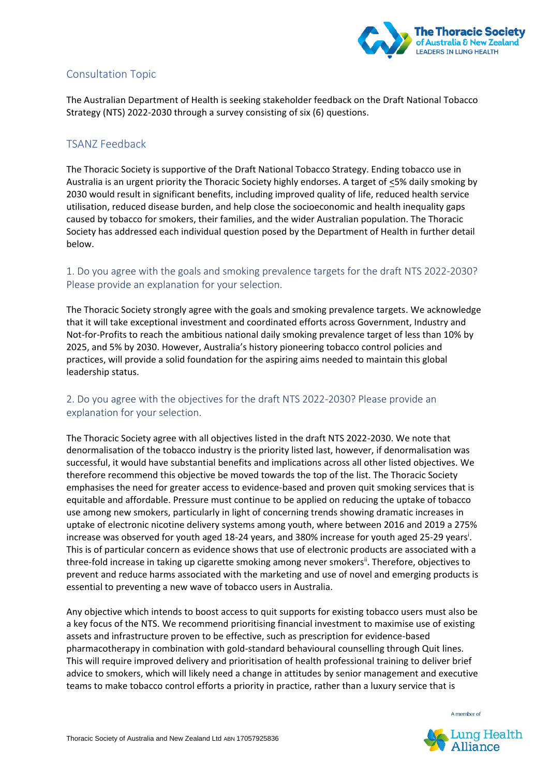

## Consultation Topic

The Australian Department of Health is seeking stakeholder feedback on the Draft National Tobacco Strategy (NTS) 2022-2030 through a survey consisting of six (6) questions.

#### TSANZ Feedback

The Thoracic Society is supportive of the Draft National Tobacco Strategy. Ending tobacco use in Australia is an urgent priority the Thoracic Society highly endorses. A target of <5% daily smoking by 2030 would result in significant benefits, including improved quality of life, reduced health service utilisation, reduced disease burden, and help close the socioeconomic and health inequality gaps caused by tobacco for smokers, their families, and the wider Australian population. The Thoracic Society has addressed each individual question posed by the Department of Health in further detail below.

#### 1. Do you agree with the goals and smoking prevalence targets for the draft NTS 2022-2030? Please provide an explanation for your selection.

The Thoracic Society strongly agree with the goals and smoking prevalence targets. We acknowledge that it will take exceptional investment and coordinated efforts across Government, Industry and Not-for-Profits to reach the ambitious national daily smoking prevalence target of less than 10% by 2025, and 5% by 2030. However, Australia's history pioneering tobacco control policies and practices, will provide a solid foundation for the aspiring aims needed to maintain this global leadership status.

### 2. Do you agree with the objectives for the draft NTS 2022-2030? Please provide an explanation for your selection.

The Thoracic Society agree with all objectives listed in the draft NTS 2022-2030. We note that denormalisation of the tobacco industry is the priority listed last, however, if denormalisation was successful, it would have substantial benefits and implications across all other listed objectives. We therefore recommend this objective be moved towards the top of the list. The Thoracic Society emphasises the need for greater access to evidence-based and proven quit smoking services that is equitable and affordable. Pressure must continue to be applied on reducing the uptake of tobacco use among new smokers, particularly in light of concerning trends showing dramatic increases in uptake of electronic nicotine delivery systems among youth, where between 2016 and 2019 a 275% increase was observed for youth aged 18-24 years, and 380% increase for youth aged 25-29 years<sup>i</sup>. This is of particular concern as evidence shows that use of electronic products are associated with a three-fold increase in taking up cigarette smoking among never smokers<sup>ii</sup>. Therefore, objectives to prevent and reduce harms associated with the marketing and use of novel and emerging products is essential to preventing a new wave of tobacco users in Australia.

Any objective which intends to boost access to quit supports for existing tobacco users must also be a key focus of the NTS. We recommend prioritising financial investment to maximise use of existing assets and infrastructure proven to be effective, such as prescription for evidence-based pharmacotherapy in combination with gold-standard behavioural counselling through Quit lines. This will require improved delivery and prioritisation of health professional training to deliver brief advice to smokers, which will likely need a change in attitudes by senior management and executive teams to make tobacco control efforts a priority in practice, rather than a luxury service that is

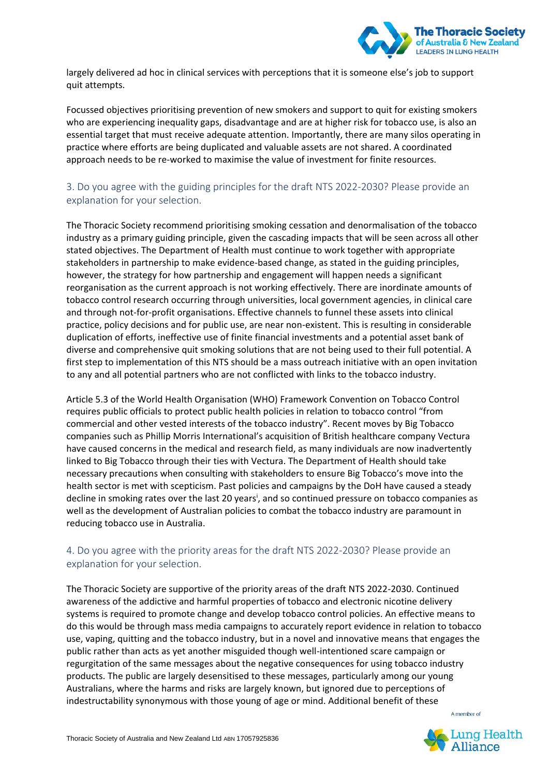

largely delivered ad hoc in clinical services with perceptions that it is someone else's job to support quit attempts.

Focussed objectives prioritising prevention of new smokers and support to quit for existing smokers who are experiencing inequality gaps, disadvantage and are at higher risk for tobacco use, is also an essential target that must receive adequate attention. Importantly, there are many silos operating in practice where efforts are being duplicated and valuable assets are not shared. A coordinated approach needs to be re-worked to maximise the value of investment for finite resources.

### 3. Do you agree with the guiding principles for the draft NTS 2022-2030? Please provide an explanation for your selection.

The Thoracic Society recommend prioritising smoking cessation and denormalisation of the tobacco industry as a primary guiding principle, given the cascading impacts that will be seen across all other stated objectives. The Department of Health must continue to work together with appropriate stakeholders in partnership to make evidence-based change, as stated in the guiding principles, however, the strategy for how partnership and engagement will happen needs a significant reorganisation as the current approach is not working effectively. There are inordinate amounts of tobacco control research occurring through universities, local government agencies, in clinical care and through not-for-profit organisations. Effective channels to funnel these assets into clinical practice, policy decisions and for public use, are near non-existent. This is resulting in considerable duplication of efforts, ineffective use of finite financial investments and a potential asset bank of diverse and comprehensive quit smoking solutions that are not being used to their full potential. A first step to implementation of this NTS should be a mass outreach initiative with an open invitation to any and all potential partners who are not conflicted with links to the tobacco industry.

Article 5.3 of the World Health Organisation (WHO) Framework Convention on Tobacco Control requires public officials to protect public health policies in relation to tobacco control "from commercial and other vested interests of the tobacco industry". Recent moves by Big Tobacco companies such as Phillip Morris International's acquisition of British healthcare company Vectura have caused concerns in the medical and research field, as many individuals are now inadvertently linked to Big Tobacco through their ties with Vectura. The Department of Health should take necessary precautions when consulting with stakeholders to ensure Big Tobacco's move into the health sector is met with scepticism. Past policies and campaigns by the DoH have caused a steady decline in smoking rates over the last 20 years<sup>i</sup>, and so continued pressure on tobacco companies as well as the development of Australian policies to combat the tobacco industry are paramount in reducing tobacco use in Australia.

#### 4. Do you agree with the priority areas for the draft NTS 2022-2030? Please provide an explanation for your selection.

The Thoracic Society are supportive of the priority areas of the draft NTS 2022-2030. Continued awareness of the addictive and harmful properties of tobacco and electronic nicotine delivery systems is required to promote change and develop tobacco control policies. An effective means to do this would be through mass media campaigns to accurately report evidence in relation to tobacco use, vaping, quitting and the tobacco industry, but in a novel and innovative means that engages the public rather than acts as yet another misguided though well-intentioned scare campaign or regurgitation of the same messages about the negative consequences for using tobacco industry products. The public are largely desensitised to these messages, particularly among our young Australians, where the harms and risks are largely known, but ignored due to perceptions of indestructability synonymous with those young of age or mind. Additional benefit of these

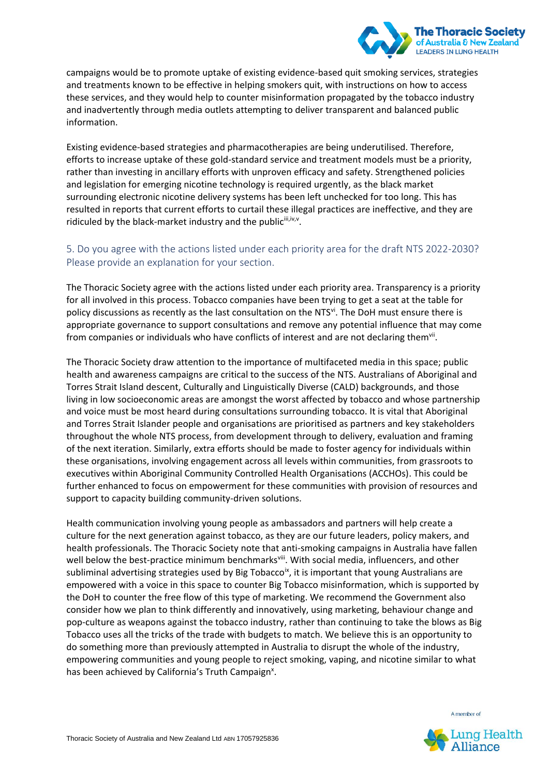

campaigns would be to promote uptake of existing evidence-based quit smoking services, strategies and treatments known to be effective in helping smokers quit, with instructions on how to access these services, and they would help to counter misinformation propagated by the tobacco industry and inadvertently through media outlets attempting to deliver transparent and balanced public information.

Existing evidence-based strategies and pharmacotherapies are being underutilised. Therefore, efforts to increase uptake of these gold-standard service and treatment models must be a priority, rather than investing in ancillary efforts with unproven efficacy and safety. Strengthened policies and legislation for emerging nicotine technology is required urgently, as the black market surrounding electronic nicotine delivery systems has been left unchecked for too long. This has resulted in reports that current efforts to curtail these illegal practices are ineffective, and they are ridiculed by the black-market industry and the publicili, iv,v.

## 5. Do you agree with the actions listed under each priority area for the draft NTS 2022-2030? Please provide an explanation for your section.

The Thoracic Society agree with the actions listed under each priority area. Transparency is a priority for all involved in this process. Tobacco companies have been trying to get a seat at the table for policy discussions as recently as the last consultation on the NTS<sup>vi</sup>. The DoH must ensure there is appropriate governance to support consultations and remove any potential influence that may come from companies or individuals who have conflicts of interest and are not declaring them<sup>vii</sup>.

The Thoracic Society draw attention to the importance of multifaceted media in this space; public health and awareness campaigns are critical to the success of the NTS. Australians of Aboriginal and Torres Strait Island descent, Culturally and Linguistically Diverse (CALD) backgrounds, and those living in low socioeconomic areas are amongst the worst affected by tobacco and whose partnership and voice must be most heard during consultations surrounding tobacco. It is vital that Aboriginal and Torres Strait Islander people and organisations are prioritised as partners and key stakeholders throughout the whole NTS process, from development through to delivery, evaluation and framing of the next iteration. Similarly, extra efforts should be made to foster agency for individuals within these organisations, involving engagement across all levels within communities, from grassroots to executives within Aboriginal Community Controlled Health Organisations (ACCHOs). This could be further enhanced to focus on empowerment for these communities with provision of resources and support to capacity building community-driven solutions.

Health communication involving young people as ambassadors and partners will help create a culture for the next generation against tobacco, as they are our future leaders, policy makers, and health professionals. The Thoracic Society note that anti-smoking campaigns in Australia have fallen well below the best-practice minimum benchmarksvill. With social media, influencers, and other subliminal advertising strategies used by Big Tobacco<sup>ix</sup>, it is important that young Australians are empowered with a voice in this space to counter Big Tobacco misinformation, which is supported by the DoH to counter the free flow of this type of marketing. We recommend the Government also consider how we plan to think differently and innovatively, using marketing, behaviour change and pop-culture as weapons against the tobacco industry, rather than continuing to take the blows as Big Tobacco uses all the tricks of the trade with budgets to match. We believe this is an opportunity to do something more than previously attempted in Australia to disrupt the whole of the industry, empowering communities and young people to reject smoking, vaping, and nicotine similar to what has been achieved by California's Truth Campaign<sup>x</sup>.

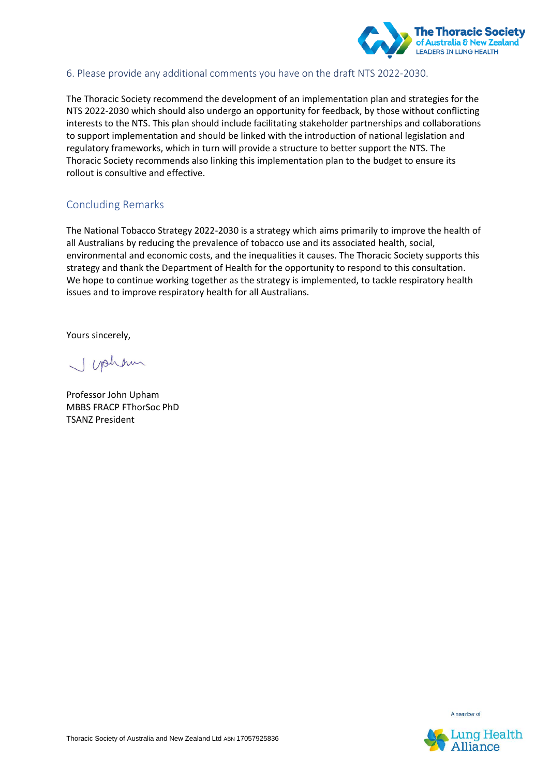

#### 6. Please provide any additional comments you have on the draft NTS 2022-2030.

The Thoracic Society recommend the development of an implementation plan and strategies for the NTS 2022-2030 which should also undergo an opportunity for feedback, by those without conflicting interests to the NTS. This plan should include facilitating stakeholder partnerships and collaborations to support implementation and should be linked with the introduction of national legislation and regulatory frameworks, which in turn will provide a structure to better support the NTS. The Thoracic Society recommends also linking this implementation plan to the budget to ensure its rollout is consultive and effective.

#### Concluding Remarks

The National Tobacco Strategy 2022-2030 is a strategy which aims primarily to improve the health of all Australians by reducing the prevalence of tobacco use and its associated health, social, environmental and economic costs, and the inequalities it causes. The Thoracic Society supports this strategy and thank the Department of Health for the opportunity to respond to this consultation. We hope to continue working together as the strategy is implemented, to tackle respiratory health issues and to improve respiratory health for all Australians.

Yours sincerely,

wahn

Professor John Upham MBBS FRACP FThorSoc PhD TSANZ President